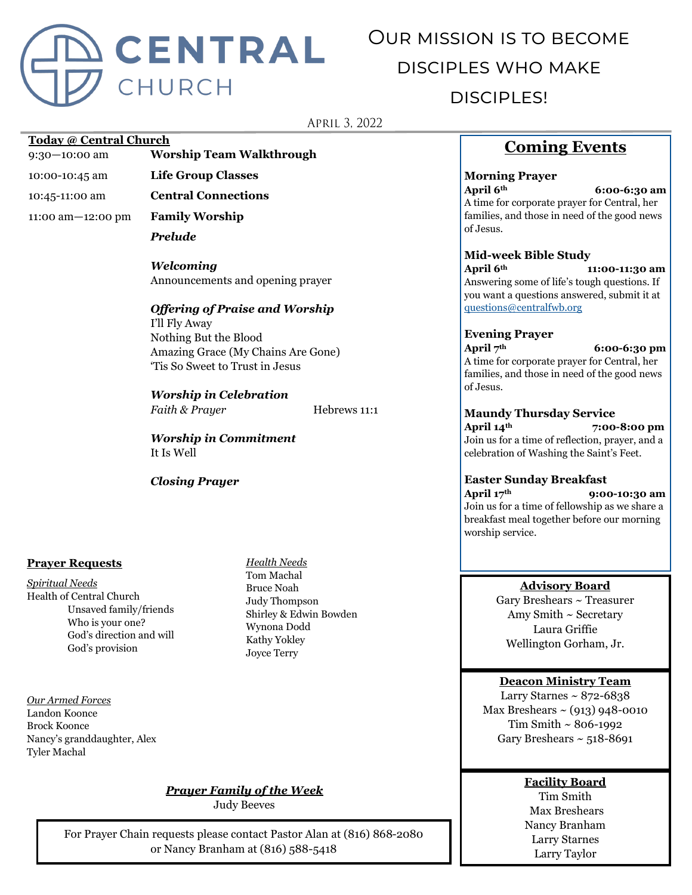

# Our mission is to become disciples who make disciples!

APRIL 3, 2022

#### **Today @ Central Church**

9:30—10:00 am **Worship Team Walkthrough**

10:00-10:45 am **Life Group Classes**

10:45-11:00 am **Central Connections**

11:00 am—12:00 pm **Family Worship**

*Prelude*

*Welcoming* Announcements and opening prayer

# *Offering of Praise and Worship*

I'll Fly Away Nothing But the Blood Amazing Grace (My Chains Are Gone) 'Tis So Sweet to Trust in Jesus

*Worship in Celebration Faith & Prayer* **Hebrews 11:1** 

*Worship in Commitment* It Is Well

*Closing Prayer*

#### **Prayer Requests**

*Spiritual Needs* Health of Central Church Unsaved family/friends Who is your one? God's direction and will God's provision

*Our Armed Forces* Landon Koonce Brock Koonce Nancy's granddaughter, Alex Tyler Machal

*Health Needs* Tom Machal Bruce Noah Judy Thompson Shirley & Edwin Bowden Wynona Dodd Kathy Yokley Joyce Terry

# *Prayer Family of the Week*

Judy Beeves

For Prayer Chain requests please contact Pastor Alan at (816) 868-2080 or Nancy Branham at (816) 588-5418

# **Coming Events**

# **Morning Prayer**

**April 6th 6:00-6:30 am** A time for corporate prayer for Central, her families, and those in need of the good news of Jesus.

#### **Mid-week Bible Study**

**April 6th 11:00-11:30 am** Answering some of life's tough questions. If you want a questions answered, submit it at [questions@centralfwb.org](mailto:questions@centralfwb.org?subject=My%20Question%20Is)

**Evening Prayer**

**April 7th 6:00-6:30 pm**

A time for corporate prayer for Central, her families, and those in need of the good news of Jesus.

# **Maundy Thursday Service**

**April 14th 7:00-8:00 pm** Join us for a time of reflection, prayer, and a celebration of Washing the Saint's Feet.

#### **Easter Sunday Breakfast**

**April 17th 9:00-10:30 am** Join us for a time of fellowship as we share a breakfast meal together before our morning worship service.

#### **Advisory Board**

Gary Breshears ~ Treasurer Amy Smith ~ Secretary Laura Griffie Wellington Gorham, Jr.

#### **Deacon Ministry Team**

Larry Starnes  $\sim 872 - 6838$ Max Breshears  $\sim$  (913) 948-0010 Tim Smith ~ 806-1992 Gary Breshears  $\sim$  518-8691

# **Facility Board**

Tim Smith Max Breshears Nancy Branham Larry Starnes Larry Taylor